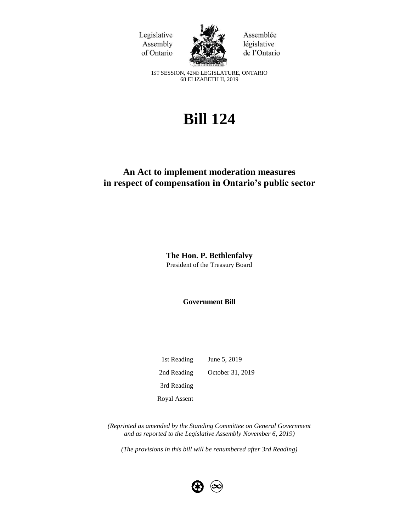Legislative Assembly of Ontario



Assemblée législative de l'Ontario

1ST SESSION, 42ND LEGISLATURE, ONTARIO 68 ELIZABETH II, 2019

# **Bill 124**

## **An Act to implement moderation measures in respect of compensation in Ontario's public sector**

**The Hon. P. Bethlenfalvy**  President of the Treasury Board

**Government Bill**

1st Reading June 5, 2019 2nd Reading October 31, 2019 3rd Reading Royal Assent

*(Reprinted as amended by the Standing Committee on General Government and as reported to the Legislative Assembly November 6, 2019)*

*(The provisions in this bill will be renumbered after 3rd Reading)*

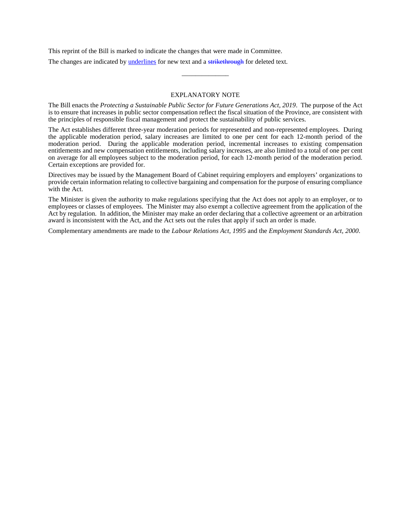This reprint of the Bill is marked to indicate the changes that were made in Committee.

The changes are indicated by underlines for new text and a strikethrough for deleted text.

#### EXPLANATORY NOTE

\_\_\_\_\_\_\_\_\_\_\_\_\_\_

The Bill enacts the *Protecting a Sustainable Public Sector for Future Generations Act, 2019*. The purpose of the Act is to ensure that increases in public sector compensation reflect the fiscal situation of the Province, are consistent with the principles of responsible fiscal management and protect the sustainability of public services.

The Act establishes different three-year moderation periods for represented and non-represented employees. During the applicable moderation period, salary increases are limited to one per cent for each 12-month period of the moderation period. During the applicable moderation period, incremental increases to existing compensation entitlements and new compensation entitlements, including salary increases, are also limited to a total of one per cent on average for all employees subject to the moderation period, for each 12-month period of the moderation period. Certain exceptions are provided for.

Directives may be issued by the Management Board of Cabinet requiring employers and employers' organizations to provide certain information relating to collective bargaining and compensation for the purpose of ensuring compliance with the Act.

The Minister is given the authority to make regulations specifying that the Act does not apply to an employer, or to employees or classes of employees. The Minister may also exempt a collective agreement from the application of the Act by regulation. In addition, the Minister may make an order declaring that a collective agreement or an arbitration award is inconsistent with the Act, and the Act sets out the rules that apply if such an order is made.

Complementary amendments are made to the *Labour Relations Act, 1995* and the *Employment Standards Act, 2000*.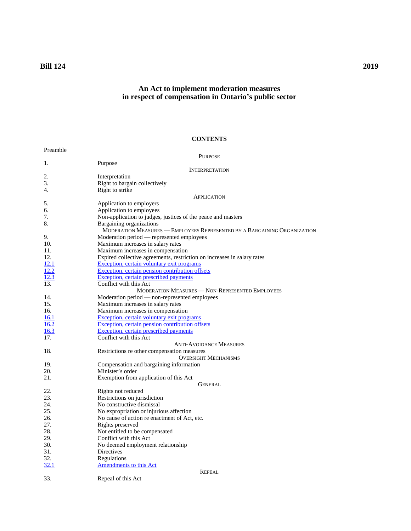## **Bill 124 2019**

## **An Act to implement moderation measures in respect of compensation in Ontario's public sector**

## **CONTENTS**

| Preamble |                                                                          |
|----------|--------------------------------------------------------------------------|
|          | <b>PURPOSE</b>                                                           |
| 1.       | Purpose                                                                  |
|          | <b>INTERPRETATION</b>                                                    |
| 2.       | Interpretation                                                           |
| 3.       | Right to bargain collectively                                            |
| 4.       | Right to strike                                                          |
|          | APPLICATION                                                              |
| 5.       | Application to employers                                                 |
| б.       | Application to employees                                                 |
| 7.       | Non-application to judges, justices of the peace and masters             |
| 8.       | Bargaining organizations                                                 |
|          | MODERATION MEASURES - EMPLOYEES REPRESENTED BY A BARGAINING ORGANIZATION |
| 9.       | Moderation period — represented employees                                |
| 10.      | Maximum increases in salary rates                                        |
| 11.      | Maximum increases in compensation                                        |
| 12.      | Expired collective agreements, restriction on increases in salary rates  |
| 12.1     | Exception, certain voluntary exit programs                               |
| 12.2     | Exception, certain pension contribution offsets                          |
| 12.3     | Exception, certain prescribed payments                                   |
| 13.      | Conflict with this Act                                                   |
|          | <b>MODERATION MEASURES - NON-REPRESENTED EMPLOYEES</b>                   |
| 14.      | Moderation period - non-represented employees                            |
| 15.      | Maximum increases in salary rates                                        |
| 16.      | Maximum increases in compensation                                        |
| 16.1     | Exception, certain voluntary exit programs                               |
| 16.2     | Exception, certain pension contribution offsets                          |
| 16.3     | Exception, certain prescribed payments                                   |
| 17.      | Conflict with this Act                                                   |
|          | <b>ANTI-AVOIDANCE MEASURES</b>                                           |
| 18.      | Restrictions re other compensation measures                              |
|          | <b>OVERSIGHT MECHANISMS</b>                                              |
| 19.      | Compensation and bargaining information                                  |
| 20.      | Minister's order                                                         |
| 21.      | Exemption from application of this Act                                   |
|          | GENERAL                                                                  |
| 22.      | Rights not reduced                                                       |
| 23.      | Restrictions on jurisdiction                                             |
| 24.      | No constructive dismissal                                                |
| 25.      | No expropriation or injurious affection                                  |
| 26.      | No cause of action re enactment of Act, etc.                             |
| 27.      | Rights preserved                                                         |
| 28.      | Not entitled to be compensated                                           |
| 29.      | Conflict with this Act                                                   |
| 30.      | No deemed employment relationship                                        |
| 31.      | Directives                                                               |
| 32.      | Regulations                                                              |
| 32.1     | Amendments to this Act                                                   |
|          | <b>REPEAL</b>                                                            |
| 33.      | Repeal of this Act                                                       |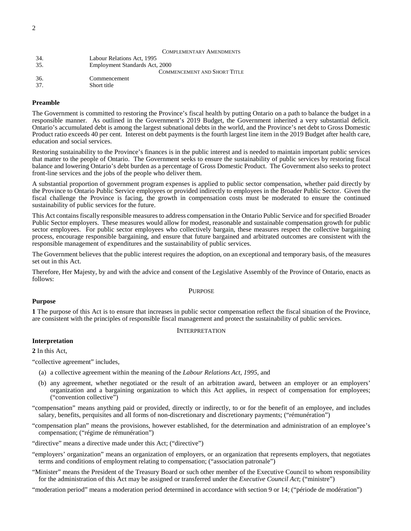|     | <b>COMPLEMENTARY AMENDMENTS</b>     |
|-----|-------------------------------------|
| 34. | Labour Relations Act, 1995          |
| 35. | Employment Standards Act, 2000      |
|     | <b>COMMENCEMENT AND SHORT TITLE</b> |
| 36. | Commencement                        |
| 37. | Short title                         |

## **Preamble**

<span id="page-3-0"></span>The Government is committed to restoring the Province's fiscal health by putting Ontario on a path to balance the budget in a responsible manner. As outlined in the Government's 2019 Budget, the Government inherited a very substantial deficit. Ontario's accumulated debt is among the largest subnational debts in the world, and the Province's net debt to Gross Domestic Product ratio exceeds 40 per cent. Interest on debt payments is the fourth largest line item in the 2019 Budget after health care, education and social services.

Restoring sustainability to the Province's finances is in the public interest and is needed to maintain important public services that matter to the people of Ontario. The Government seeks to ensure the sustainability of public services by restoring fiscal balance and lowering Ontario's debt burden as a percentage of Gross Domestic Product. The Government also seeks to protect front-line services and the jobs of the people who deliver them.

A substantial proportion of government program expenses is applied to public sector compensation, whether paid directly by the Province to Ontario Public Service employees or provided indirectly to employees in the Broader Public Sector. Given the fiscal challenge the Province is facing, the growth in compensation costs must be moderated to ensure the continued sustainability of public services for the future.

This Act contains fiscally responsible measures to address compensation in the Ontario Public Service and for specified Broader Public Sector employers. These measures would allow for modest, reasonable and sustainable compensation growth for public sector employees. For public sector employees who collectively bargain, these measures respect the collective bargaining process, encourage responsible bargaining, and ensure that future bargained and arbitrated outcomes are consistent with the responsible management of expenditures and the sustainability of public services.

The Government believes that the public interest requires the adoption, on an exceptional and temporary basis, of the measures set out in this Act.

<span id="page-3-1"></span>Therefore, Her Majesty, by and with the advice and consent of the Legislative Assembly of the Province of Ontario, enacts as follows:

#### PURPOSE

#### **Purpose**

<span id="page-3-3"></span><span id="page-3-2"></span>**1** The purpose of this Act is to ensure that increases in public sector compensation reflect the fiscal situation of the Province, are consistent with the principles of responsible fiscal management and protect the sustainability of public services.

### INTERPRETATION

## **Interpretation**

<span id="page-3-4"></span>**2** In this Act,

"collective agreement" includes,

- (a) a collective agreement within the meaning of the *Labour Relations Act, 1995*, and
- (b) any agreement, whether negotiated or the result of an arbitration award, between an employer or an employers' organization and a bargaining organization to which this Act applies, in respect of compensation for employees; ("convention collective")

"compensation" means anything paid or provided, directly or indirectly, to or for the benefit of an employee, and includes salary, benefits, perquisites and all forms of non-discretionary and discretionary payments; ("rémunération")

- "compensation plan" means the provisions, however established, for the determination and administration of an employee's compensation; ("régime de rémunération")
- "directive" means a directive made under this Act; ("directive")
- "employers' organization" means an organization of employers, or an organization that represents employers, that negotiates terms and conditions of employment relating to compensation; ("association patronale")
- "Minister" means the President of the Treasury Board or such other member of the Executive Council to whom responsibility for the administration of this Act may be assigned or transferred under the *Executive Council Act*; ("ministre")

"moderation period" means a moderation period determined in accordance with section 9 or 14; ("période de modération")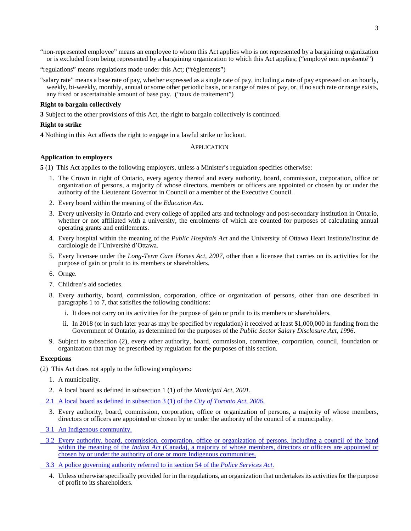"non-represented employee" means an employee to whom this Act applies who is not represented by a bargaining organization or is excluded from being represented by a bargaining organization to which this Act applies; ("employé non représenté")

"regulations" means regulations made under this Act; ("règlements")

"salary rate" means a base rate of pay, whether expressed as a single rate of pay, including a rate of pay expressed on an hourly, weekly, bi-weekly, monthly, annual or some other periodic basis, or a range of rates of pay, or, if no such rate or range exists, any fixed or ascertainable amount of base pay. ("taux de traitement")

#### **Right to bargain collectively**

<span id="page-4-0"></span>**3** Subject to the other provisions of this Act, the right to bargain collectively is continued.

#### **Right to strike**

<span id="page-4-2"></span><span id="page-4-1"></span>**4** Nothing in this Act affects the right to engage in a lawful strike or lockout.

APPLICATION

#### **Application to employers**

<span id="page-4-3"></span>**5** (1) This Act applies to the following employers, unless a Minister's regulation specifies otherwise:

- 1. The Crown in right of Ontario, every agency thereof and every authority, board, commission, corporation, office or organization of persons, a majority of whose directors, members or officers are appointed or chosen by or under the authority of the Lieutenant Governor in Council or a member of the Executive Council.
- 2. Every board within the meaning of the *Education Act*.
- 3. Every university in Ontario and every college of applied arts and technology and post-secondary institution in Ontario, whether or not affiliated with a university, the enrolments of which are counted for purposes of calculating annual operating grants and entitlements.
- 4. Every hospital within the meaning of the *Public Hospitals Act* and the University of Ottawa Heart Institute/Institut de cardiologie de l'Université d'Ottawa.
- 5. Every licensee under the *Long-Term Care Homes Act, 2007*, other than a licensee that carries on its activities for the purpose of gain or profit to its members or shareholders.
- 6. Ornge.
- 7. Children's aid societies.
- 8. Every authority, board, commission, corporation, office or organization of persons, other than one described in paragraphs 1 to 7, that satisfies the following conditions:
	- i. It does not carry on its activities for the purpose of gain or profit to its members or shareholders.
	- ii. In 2018 (or in such later year as may be specified by regulation) it received at least \$1,000,000 in funding from the Government of Ontario, as determined for the purposes of the *Public Sector Salary Disclosure Act, 1996*.
- 9. Subject to subsection (2), every other authority, board, commission, committee, corporation, council, foundation or organization that may be prescribed by regulation for the purposes of this section.

#### **Exceptions**

(2) This Act does not apply to the following employers:

- 1. A municipality.
- 2. A local board as defined in subsection 1 (1) of the *Municipal Act, 2001*.
- 2.1 A local board as defined in subsection 3 (1) of the *City of Toronto Act, 2006*.
	- 3. Every authority, board, commission, corporation, office or organization of persons, a majority of whose members, directors or officers are appointed or chosen by or under the authority of the council of a municipality.
- 3.1 An Indigenous community.
- 3.2 Every authority, board, commission, corporation, office or organization of persons, including a council of the band within the meaning of the *Indian Act* (Canada), a majority of whose members, directors or officers are appointed or chosen by or under the authority of one or more Indigenous communities.
- 3.3 A police governing authority referred to in section 54 of the *Police Services Act*.
	- 4. Unless otherwise specifically provided for in the regulations, an organization that undertakes its activities for the purpose of profit to its shareholders.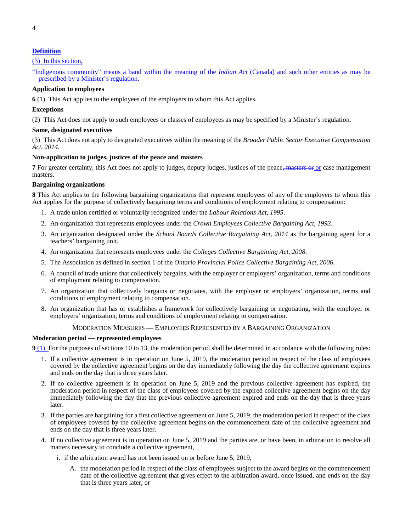## **Definition**

## (3) In this section,

"Indigenous community" means a band within the meaning of the *Indian Act* (Canada) and such other entities as may be prescribed by a Minister's regulation.

## **Application to employees**

<span id="page-5-0"></span>**6** (1) This Act applies to the employees of the employers to whom this Act applies.

#### **Exceptions**

(2) This Act does not apply to such employees or classes of employees as may be specified by a Minister's regulation.

## **Same, designated executives**

(3) This Act does not apply to designated executives within the meaning of the *Broader Public Sector Executive Compensation Act, 2014*.

#### **Non-application to judges, justices of the peace and masters**

<span id="page-5-1"></span>**7** For greater certainty, this Act does not apply to judges, deputy judges, justices of the peace, masters or or case management masters.

#### **Bargaining organizations**

<span id="page-5-2"></span>**8** This Act applies to the following bargaining organizations that represent employees of any of the employers to whom this Act applies for the purpose of collectively bargaining terms and conditions of employment relating to compensation:

- 1. A trade union certified or voluntarily recognized under the *Labour Relations Act, 1995*.
- 2. An organization that represents employees under the *Crown Employees Collective Bargaining Act, 1993*.
- 3. An organization designated under the *School Boards Collective Bargaining Act, 2014* as the bargaining agent for a teachers' bargaining unit.
- 4. An organization that represents employees under the *Colleges Collective Bargaining Act, 2008*.
- 5. The Association as defined in section 1 of the *Ontario Provincial Police Collective Bargaining Act, 2006*.
- 6. A council of trade unions that collectively bargains, with the employer or employers' organization, terms and conditions of employment relating to compensation.
- 7. An organization that collectively bargains or negotiates, with the employer or employers' organization, terms and conditions of employment relating to compensation.
- 8. An organization that has or establishes a framework for collectively bargaining or negotiating, with the employer or employers' organization, terms and conditions of employment relating to compensation.

## MODERATION MEASURES — EMPLOYEES REPRESENTED BY A BARGAINING ORGANIZATION

#### <span id="page-5-3"></span>**Moderation period — represented employees**

<span id="page-5-4"></span>**9** (1) For the purposes of sections 10 to 13, the moderation period shall be determined in accordance with the following rules:

- 1. If a collective agreement is in operation on June 5, 2019, the moderation period in respect of the class of employees covered by the collective agreement begins on the day immediately following the day the collective agreement expires and ends on the day that is three years later.
- 2. If no collective agreement is in operation on June 5, 2019 and the previous collective agreement has expired, the moderation period in respect of the class of employees covered by the expired collective agreement begins on the day immediately following the day that the previous collective agreement expired and ends on the day that is three years later.
- 3. If the parties are bargaining for a first collective agreement on June 5, 2019, the moderation period in respect of the class of employees covered by the collective agreement begins on the commencement date of the collective agreement and ends on the day that is three years later.
- 4. If no collective agreement is in operation on June 5, 2019 and the parties are, or have been, in arbitration to resolve all matters necessary to conclude a collective agreement,
	- i. if the arbitration award has not been issued on or before June 5, 2019,
		- A. the moderation period in respect of the class of employees subject to the award begins on the commencement date of the collective agreement that gives effect to the arbitration award, once issued, and ends on the day that is three years later, or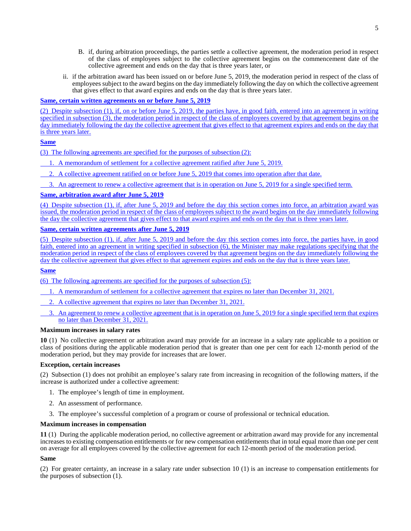- B. if, during arbitration proceedings, the parties settle a collective agreement, the moderation period in respect of the class of employees subject to the collective agreement begins on the commencement date of the collective agreement and ends on the day that is three years later, or
- ii. if the arbitration award has been issued on or before June 5, 2019, the moderation period in respect of the class of employees subject to the award begins on the day immediately following the day on which the collective agreement that gives effect to that award expires and ends on the day that is three years later.

## **Same, certain written agreements on or before June 5, 2019**

(2) Despite subsection (1), if, on or before June 5, 2019, the parties have, in good faith, entered into an agreement in writing specified in subsection (3), the moderation period in respect of the class of employees covered by that agreement begins on the day immediately following the day the collective agreement that gives effect to that agreement expires and ends on the day that is three years later.

## **Same**

(3) The following agreements are specified for the purposes of subsection (2):

- 1. A memorandum of settlement for a collective agreement ratified after June 5, 2019.
- 2. A collective agreement ratified on or before June 5, 2019 that comes into operation after that date.
- 3. An agreement to renew a collective agreement that is in operation on June 5, 2019 for a single specified term.

## **Same, arbitration award after June 5, 2019**

(4) Despite subsection (1), if, after June 5, 2019 and before the day this section comes into force, an arbitration award was issued, the moderation period in respect of the class of employees subject to the award begins on the day immediately following the day the collective agreement that gives effect to that award expires and ends on the day that is three years later.

## **Same, certain written agreements after June 5, 2019**

(5) Despite subsection (1), if, after June 5, 2019 and before the day this section comes into force, the parties have, in good faith, entered into an agreement in writing specified in subsection (6), the Minister may make regulations specifying that the moderation period in respect of the class of employees covered by that agreement begins on the day immediately following the day the collective agreement that gives effect to that agreement expires and ends on the day that is three years later.

## **Same**

(6) The following agreements are specified for the purposes of subsection (5):

- 1. A memorandum of settlement for a collective agreement that expires no later than December 31, 2021.
- 2. A collective agreement that expires no later than December 31, 2021.
- 3. An agreement to renew a collective agreement that is in operation on June 5, 2019 for a single specified term that expires no later than December 31, 2021.

## **Maximum increases in salary rates**

<span id="page-6-0"></span>**10** (1) No collective agreement or arbitration award may provide for an increase in a salary rate applicable to a position or class of positions during the applicable moderation period that is greater than one per cent for each 12-month period of the moderation period, but they may provide for increases that are lower.

## **Exception, certain increases**

(2) Subsection (1) does not prohibit an employee's salary rate from increasing in recognition of the following matters, if the increase is authorized under a collective agreement:

- 1. The employee's length of time in employment.
- 2. An assessment of performance.
- 3. The employee's successful completion of a program or course of professional or technical education.

## **Maximum increases in compensation**

<span id="page-6-1"></span>**11** (1) During the applicable moderation period, no collective agreement or arbitration award may provide for any incremental increases to existing compensation entitlements or for new compensation entitlements that in total equal more than one per cent on average for all employees covered by the collective agreement for each 12-month period of the moderation period.

## **Same**

(2) For greater certainty, an increase in a salary rate under subsection 10 (1) is an increase to compensation entitlements for the purposes of subsection (1).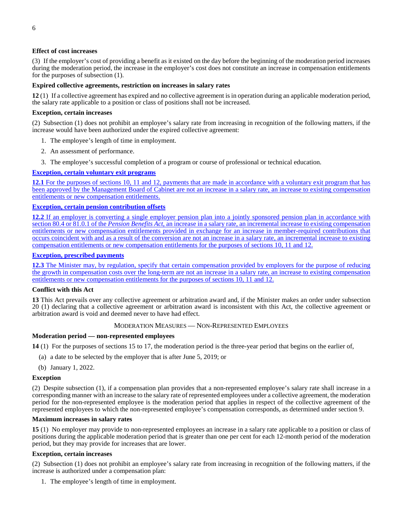## **Effect of cost increases**

(3) If the employer's cost of providing a benefit as it existed on the day before the beginning of the moderation period increases during the moderation period, the increase in the employer's cost does not constitute an increase in compensation entitlements for the purposes of subsection (1).

## **Expired collective agreements, restriction on increases in salary rates**

<span id="page-7-0"></span>**12** (1) If a collective agreement has expired and no collective agreement is in operation during an applicable moderation period, the salary rate applicable to a position or class of positions shall not be increased.

## **Exception, certain increases**

(2) Subsection (1) does not prohibit an employee's salary rate from increasing in recognition of the following matters, if the increase would have been authorized under the expired collective agreement:

- 1. The employee's length of time in employment.
- 2. An assessment of performance.
- 3. The employee's successful completion of a program or course of professional or technical education.

## **Exception, certain voluntary exit programs**

**12.1** For the purposes of sections 10, 11 and 12, payments that are made in accordance with a voluntary exit program that has been approved by the Management Board of Cabinet are not an increase in a salary rate, an increase to existing compensation entitlements or new compensation entitlements.

## **Exception, certain pension contribution offsets**

**12.2** If an employer is converting a single employer pension plan into a jointly sponsored pension plan in accordance with section 80.4 or 81.0.1 of the *Pension Benefits Act*, an increase in a salary rate, an incremental increase to existing compensation entitlements or new compensation entitlements provided in exchange for an increase in member-required contributions that occurs coincident with and as a result of the conversion are not an increase in a salary rate, an incremental increase to existing compensation entitlements or new compensation entitlements for the purposes of sections 10, 11 and 12.

## **Exception, prescribed payments**

**12.3** The Minister may, by regulation, specify that certain compensation provided by employers for the purpose of reducing the growth in compensation costs over the long-term are not an increase in a salary rate, an increase to existing compensation entitlements or new compensation entitlements for the purposes of sections 10, 11 and 12.

## **Conflict with this Act**

<span id="page-7-1"></span>**13** This Act prevails over any collective agreement or arbitration award and, if the Minister makes an order under subsection 20 (1) declaring that a collective agreement or arbitration award is inconsistent with this Act, the collective agreement or arbitration award is void and deemed never to have had effect.

## MODERATION MEASURES — NON-REPRESENTED EMPLOYEES

## <span id="page-7-2"></span>**Moderation period — non-represented employees**

<span id="page-7-3"></span>**14** (1) For the purposes of sections 15 to 17, the moderation period is the three-year period that begins on the earlier of,

- (a) a date to be selected by the employer that is after June 5, 2019; or
- (b) January 1, 2022.

## **Exception**

(2) Despite subsection (1), if a compensation plan provides that a non-represented employee's salary rate shall increase in a corresponding manner with an increase to the salary rate of represented employees under a collective agreement, the moderation period for the non-represented employee is the moderation period that applies in respect of the collective agreement of the represented employees to which the non-represented employee's compensation corresponds, as determined under section 9.

## **Maximum increases in salary rates**

<span id="page-7-4"></span>**15** (1) No employer may provide to non-represented employees an increase in a salary rate applicable to a position or class of positions during the applicable moderation period that is greater than one per cent for each 12-month period of the moderation period, but they may provide for increases that are lower.

## **Exception, certain increases**

(2) Subsection (1) does not prohibit an employee's salary rate from increasing in recognition of the following matters, if the increase is authorized under a compensation plan:

1. The employee's length of time in employment.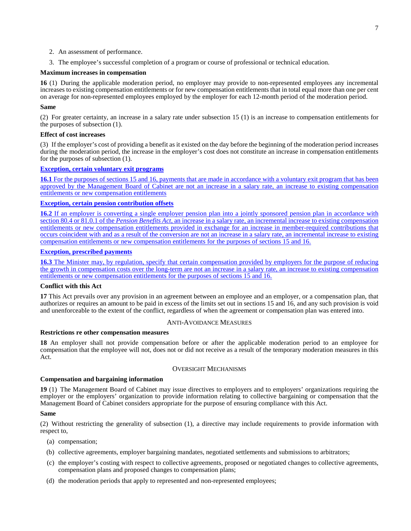- 2. An assessment of performance.
- 3. The employee's successful completion of a program or course of professional or technical education.

## **Maximum increases in compensation**

<span id="page-8-0"></span>**16** (1) During the applicable moderation period, no employer may provide to non-represented employees any incremental increases to existing compensation entitlements or for new compensation entitlements that in total equal more than one per cent on average for non-represented employees employed by the employer for each 12-month period of the moderation period.

## **Same**

(2) For greater certainty, an increase in a salary rate under subsection 15 (1) is an increase to compensation entitlements for the purposes of subsection (1).

## **Effect of cost increases**

(3) If the employer's cost of providing a benefit as it existed on the day before the beginning of the moderation period increases during the moderation period, the increase in the employer's cost does not constitute an increase in compensation entitlements for the purposes of subsection (1).

## **Exception, certain voluntary exit programs**

**16.1** For the purposes of sections 15 and 16, payments that are made in accordance with a voluntary exit program that has been approved by the Management Board of Cabinet are not an increase in a salary rate, an increase to existing compensation entitlements or new compensation entitlements

## **Exception, certain pension contribution offsets**

**16.2** If an employer is converting a single employer pension plan into a jointly sponsored pension plan in accordance with section 80.4 or 81.0.1 of the *Pension Benefits Act*, an increase in a salary rate, an incremental increase to existing compensation entitlements or new compensation entitlements provided in exchange for an increase in member-required contributions that occurs coincident with and as a result of the conversion are not an increase in a salary rate, an incremental increase to existing compensation entitlements or new compensation entitlements for the purposes of sections 15 and 16.

## **Exception, prescribed payments**

**16.3** The Minister may, by regulation, specify that certain compensation provided by employers for the purpose of reducing the growth in compensation costs over the long-term are not an increase in a salary rate, an increase to existing compensation entitlements or new compensation entitlements for the purposes of sections 15 and 16.

## **Conflict with this Act**

<span id="page-8-1"></span>**17** This Act prevails over any provision in an agreement between an employee and an employer, or a compensation plan, that authorizes or requires an amount to be paid in excess of the limits set out in sections 15 and 16, and any such provision is void and unenforceable to the extent of the conflict, regardless of when the agreement or compensation plan was entered into.

## ANTI-AVOIDANCE MEASURES

## <span id="page-8-2"></span>**Restrictions re other compensation measures**

<span id="page-8-3"></span>**18** An employer shall not provide compensation before or after the applicable moderation period to an employee for compensation that the employee will not, does not or did not receive as a result of the temporary moderation measures in this Act.

## OVERSIGHT MECHANISMS

## <span id="page-8-4"></span>**Compensation and bargaining information**

<span id="page-8-5"></span>**19** (1) The Management Board of Cabinet may issue directives to employers and to employers' organizations requiring the employer or the employers' organization to provide information relating to collective bargaining or compensation that the Management Board of Cabinet considers appropriate for the purpose of ensuring compliance with this Act.

## **Same**

(2) Without restricting the generality of subsection (1), a directive may include requirements to provide information with respect to,

- (a) compensation;
- (b) collective agreements, employer bargaining mandates, negotiated settlements and submissions to arbitrators;
- (c) the employer's costing with respect to collective agreements, proposed or negotiated changes to collective agreements, compensation plans and proposed changes to compensation plans;
- (d) the moderation periods that apply to represented and non-represented employees;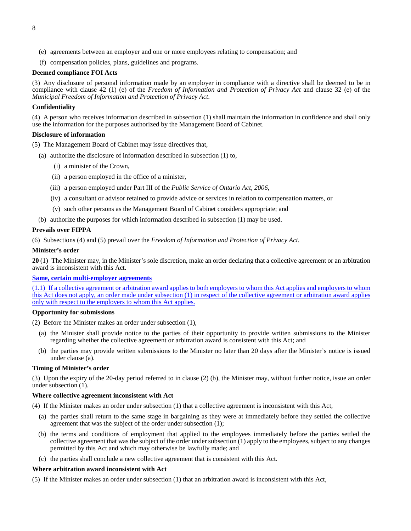- (e) agreements between an employer and one or more employees relating to compensation; and
- (f) compensation policies, plans, guidelines and programs.

#### **Deemed compliance FOI Acts**

(3) Any disclosure of personal information made by an employer in compliance with a directive shall be deemed to be in compliance with clause 42 (1) (e) of the *Freedom of Information and Protection of Privacy Act* and clause 32 (e) of the *Municipal Freedom of Information and Protection of Privacy Act*.

## **Confidentiality**

(4) A person who receives information described in subsection (1) shall maintain the information in confidence and shall only use the information for the purposes authorized by the Management Board of Cabinet.

#### **Disclosure of information**

(5) The Management Board of Cabinet may issue directives that,

- (a) authorize the disclosure of information described in subsection (1) to,
	- (i) a minister of the Crown,
	- (ii) a person employed in the office of a minister,
	- (iii) a person employed under Part III of the *Public Service of Ontario Act, 2006*,
	- (iv) a consultant or advisor retained to provide advice or services in relation to compensation matters, or
	- (v) such other persons as the Management Board of Cabinet considers appropriate; and
- (b) authorize the purposes for which information described in subsection (1) may be used.

#### **Prevails over FIPPA**

(6) Subsections (4) and (5) prevail over the *Freedom of Information and Protection of Privacy Act*.

#### **Minister's order**

<span id="page-9-0"></span>**20** (1) The Minister may, in the Minister's sole discretion, make an order declaring that a collective agreement or an arbitration award is inconsistent with this Act.

## **Same, certain multi-employer agreements**

(1.1) If a collective agreement or arbitration award applies to both employers to whom this Act applies and employers to whom this Act does not apply, an order made under subsection (1) in respect of the collective agreement or arbitration award applies only with respect to the employers to whom this Act applies.

#### **Opportunity for submissions**

- (2) Before the Minister makes an order under subsection (1),
	- (a) the Minister shall provide notice to the parties of their opportunity to provide written submissions to the Minister regarding whether the collective agreement or arbitration award is consistent with this Act; and
	- (b) the parties may provide written submissions to the Minister no later than 20 days after the Minister's notice is issued under clause (a).

#### **Timing of Minister's order**

(3) Upon the expiry of the 20-day period referred to in clause (2) (b), the Minister may, without further notice, issue an order under subsection (1).

#### **Where collective agreement inconsistent with Act**

- (4) If the Minister makes an order under subsection (1) that a collective agreement is inconsistent with this Act,
	- (a) the parties shall return to the same stage in bargaining as they were at immediately before they settled the collective agreement that was the subject of the order under subsection (1);
	- (b) the terms and conditions of employment that applied to the employees immediately before the parties settled the collective agreement that was the subject of the order under subsection (1) apply to the employees, subject to any changes permitted by this Act and which may otherwise be lawfully made; and
	- (c) the parties shall conclude a new collective agreement that is consistent with this Act.

#### **Where arbitration award inconsistent with Act**

(5) If the Minister makes an order under subsection (1) that an arbitration award is inconsistent with this Act,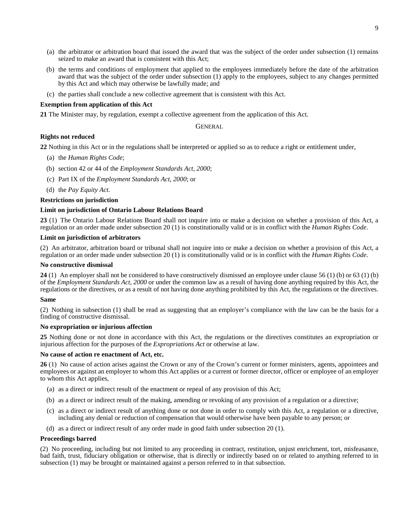- (a) the arbitrator or arbitration board that issued the award that was the subject of the order under subsection (1) remains seized to make an award that is consistent with this Act;
- (b) the terms and conditions of employment that applied to the employees immediately before the date of the arbitration award that was the subject of the order under subsection (1) apply to the employees, subject to any changes permitted by this Act and which may otherwise be lawfully made; and
- (c) the parties shall conclude a new collective agreement that is consistent with this Act.

## **Exemption from application of this Act**

<span id="page-10-1"></span><span id="page-10-0"></span>**21** The Minister may, by regulation, exempt a collective agreement from the application of this Act.

**GENERAL** 

## **Rights not reduced**

<span id="page-10-2"></span>**22** Nothing in this Act or in the regulations shall be interpreted or applied so as to reduce a right or entitlement under,

- (a) the *Human Rights Code*;
- (b) section 42 or 44 of the *Employment Standards Act, 2000*;
- (c) Part IX of the *Employment Standards Act, 2000*; or
- (d) the *Pay Equity Act*.

#### **Restrictions on jurisdiction**

#### **Limit on jurisdiction of Ontario Labour Relations Board**

<span id="page-10-3"></span>**23** (1) The Ontario Labour Relations Board shall not inquire into or make a decision on whether a provision of this Act, a regulation or an order made under subsection 20 (1) is constitutionally valid or is in conflict with the *Human Rights Code*.

#### **Limit on jurisdiction of arbitrators**

(2) An arbitrator, arbitration board or tribunal shall not inquire into or make a decision on whether a provision of this Act, a regulation or an order made under subsection 20 (1) is constitutionally valid or is in conflict with the *Human Rights Code*.

## **No constructive dismissal**

<span id="page-10-4"></span>**24** (1) An employer shall not be considered to have constructively dismissed an employee under clause 56 (1) (b) or 63 (1) (b) of the *Employment Standards Act, 2000* or under the common law as a result of having done anything required by this Act, the regulations or the directives, or as a result of not having done anything prohibited by this Act, the regulations or the directives.

## **Same**

(2) Nothing in subsection (1) shall be read as suggesting that an employer's compliance with the law can be the basis for a finding of constructive dismissal.

#### **No expropriation or injurious affection**

<span id="page-10-5"></span>**25** Nothing done or not done in accordance with this Act, the regulations or the directives constitutes an expropriation or injurious affection for the purposes of the *Expropriations Act* or otherwise at law.

#### **No cause of action re enactment of Act, etc.**

<span id="page-10-6"></span>**26** (1) No cause of action arises against the Crown or any of the Crown's current or former ministers, agents, appointees and employees or against an employer to whom this Act applies or a current or former director, officer or employee of an employer to whom this Act applies,

- (a) as a direct or indirect result of the enactment or repeal of any provision of this Act;
- (b) as a direct or indirect result of the making, amending or revoking of any provision of a regulation or a directive;
- (c) as a direct or indirect result of anything done or not done in order to comply with this Act, a regulation or a directive, including any denial or reduction of compensation that would otherwise have been payable to any person; or
- (d) as a direct or indirect result of any order made in good faith under subsection 20 (1).

#### **Proceedings barred**

(2) No proceeding, including but not limited to any proceeding in contract, restitution, unjust enrichment, tort, misfeasance, bad faith, trust, fiduciary obligation or otherwise, that is directly or indirectly based on or related to anything referred to in subsection (1) may be brought or maintained against a person referred to in that subsection.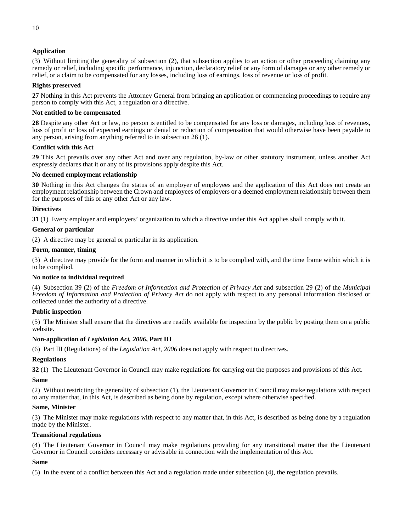## **Application**

(3) Without limiting the generality of subsection (2), that subsection applies to an action or other proceeding claiming any remedy or relief, including specific performance, injunction, declaratory relief or any form of damages or any other remedy or relief, or a claim to be compensated for any losses, including loss of earnings, loss of revenue or loss of profit.

## **Rights preserved**

<span id="page-11-0"></span>**27** Nothing in this Act prevents the Attorney General from bringing an application or commencing proceedings to require any person to comply with this Act, a regulation or a directive.

## **Not entitled to be compensated**

<span id="page-11-1"></span>**28** Despite any other Act or law, no person is entitled to be compensated for any loss or damages, including loss of revenues, loss of profit or loss of expected earnings or denial or reduction of compensation that would otherwise have been payable to any person, arising from anything referred to in subsection 26 (1).

## **Conflict with this Act**

<span id="page-11-2"></span>**29** This Act prevails over any other Act and over any regulation, by-law or other statutory instrument, unless another Act expressly declares that it or any of its provisions apply despite this Act.

## **No deemed employment relationship**

<span id="page-11-3"></span>**30** Nothing in this Act changes the status of an employer of employees and the application of this Act does not create an employment relationship between the Crown and employees of employers or a deemed employment relationship between them for the purposes of this or any other Act or any law.

## **Directives**

<span id="page-11-4"></span>**31** (1) Every employer and employers' organization to which a directive under this Act applies shall comply with it.

## **General or particular**

(2) A directive may be general or particular in its application.

## **Form, manner, timing**

(3) A directive may provide for the form and manner in which it is to be complied with, and the time frame within which it is to be complied.

## **No notice to individual required**

(4) Subsection 39 (2) of the *Freedom of Information and Protection of Privacy Act* and subsection 29 (2) of the *Municipal Freedom of Information and Protection of Privacy Act* do not apply with respect to any personal information disclosed or collected under the authority of a directive.

## **Public inspection**

(5) The Minister shall ensure that the directives are readily available for inspection by the public by posting them on a public website.

## **Non-application of** *Legislation Act, 2006***, Part III**

(6) Part III (Regulations) of the *Legislation Act, 2006* does not apply with respect to directives.

## **Regulations**

<span id="page-11-5"></span>**32** (1) The Lieutenant Governor in Council may make regulations for carrying out the purposes and provisions of this Act.

## **Same**

(2) Without restricting the generality of subsection (1), the Lieutenant Governor in Council may make regulations with respect to any matter that, in this Act, is described as being done by regulation, except where otherwise specified.

## **Same, Minister**

(3) The Minister may make regulations with respect to any matter that, in this Act, is described as being done by a regulation made by the Minister.

## **Transitional regulations**

(4) The Lieutenant Governor in Council may make regulations providing for any transitional matter that the Lieutenant Governor in Council considers necessary or advisable in connection with the implementation of this Act.

## **Same**

(5) In the event of a conflict between this Act and a regulation made under subsection (4), the regulation prevails.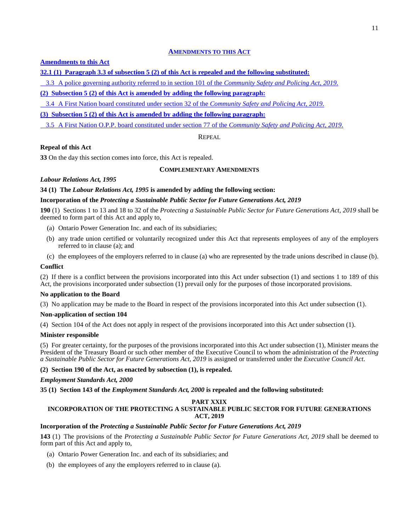## **AMENDMENTS TO THIS ACT**

## **Amendments to this Act**

**32.1 (1) Paragraph 3.3 of subsection 5 (2) of this Act is repealed and the following substituted:**

3.3 A police governing authority referred to in section 101 of the *Community Safety and Policing Act, 2019*.

## **(2) Subsection 5 (2) of this Act is amended by adding the following paragraph:**

3.4 A First Nation board constituted under section 32 of the *Community Safety and Policing Act, 2019*.

## **(3) Subsection 5 (2) of this Act is amended by adding the following paragraph:**

<span id="page-12-0"></span>3.5 A First Nation O.P.P. board constituted under section 77 of the *Community Safety and Policing Act, 2019*.

REPEAL

## **Repeal of this Act**

<span id="page-12-2"></span><span id="page-12-1"></span>**33** On the day this section comes into force, this Act is repealed.

## **COMPLEMENTARY AMENDMENTS**

## *Labour Relations Act, 1995*

## <span id="page-12-3"></span>**34 (1) The** *Labour Relations Act, 1995* **is amended by adding the following section:**

## **Incorporation of the** *Protecting a Sustainable Public Sector for Future Generations Act, 2019*

**190** (1) Sections 1 to 13 and 18 to 32 of the *Protecting a Sustainable Public Sector for Future Generations Act, 2019* shall be deemed to form part of this Act and apply to,

- (a) Ontario Power Generation Inc. and each of its subsidiaries;
- (b) any trade union certified or voluntarily recognized under this Act that represents employees of any of the employers referred to in clause (a); and
- (c) the employees of the employers referred to in clause (a) who are represented by the trade unions described in clause (b).

## **Conflict**

(2) If there is a conflict between the provisions incorporated into this Act under subsection (1) and sections 1 to 189 of this Act, the provisions incorporated under subsection (1) prevail only for the purposes of those incorporated provisions.

## **No application to the Board**

(3) No application may be made to the Board in respect of the provisions incorporated into this Act under subsection (1).

## **Non-application of section 104**

(4) Section 104 of the Act does not apply in respect of the provisions incorporated into this Act under subsection (1).

## **Minister responsible**

(5) For greater certainty, for the purposes of the provisions incorporated into this Act under subsection (1), Minister means the President of the Treasury Board or such other member of the Executive Council to whom the administration of the *Protecting a Sustainable Public Sector for Future Generations Act, 2019* is assigned or transferred under the *Executive Council Act*.

## **(2) Section 190 of the Act, as enacted by subsection (1), is repealed.**

## *Employment Standards Act, 2000*

<span id="page-12-4"></span>**35 (1) Section 143 of the** *Employment Standards Act, 2000* **is repealed and the following substituted:**

## **PART XXIX**

## **INCORPORATION OF THE PROTECTING A SUSTAINABLE PUBLIC SECTOR FOR FUTURE GENERATIONS ACT, 2019**

## **Incorporation of the** *Protecting a Sustainable Public Sector for Future Generations Act, 2019*

**143** (1) The provisions of the *Protecting a Sustainable Public Sector for Future Generations Act, 2019* shall be deemed to form part of this Act and apply to,

- (a) Ontario Power Generation Inc. and each of its subsidiaries; and
- (b) the employees of any the employers referred to in clause (a).